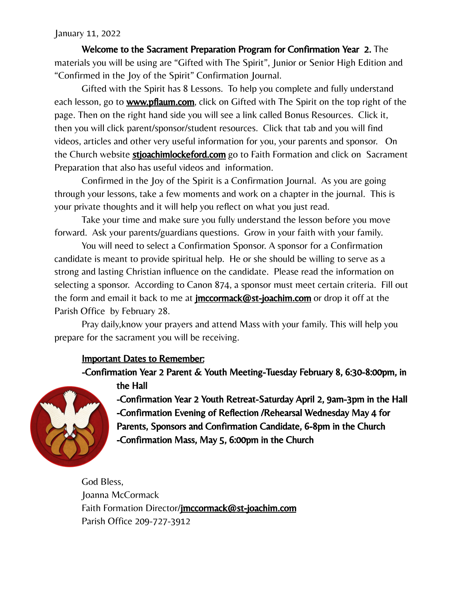## January 11, 2022

Welcome to the Sacrament Preparation Program for Confirmation Year 2. The materials you will be using are "Gifted with The Spirit", Junior or Senior High Edition and "Confirmed in the Joy of the Spirit" Confirmation Journal.

Gifted with the Spirit has 8 Lessons. To help you complete and fully understand each lesson, go to **www.pflaum.com**, click on Gifted with The Spirit on the top right of the page. Then on the right hand side you will see a link called Bonus Resources. Click it, then you will click parent/sponsor/student resources. Click that tab and you will find videos, articles and other very useful information for you, your parents and sponsor. On the Church website **stjoachimlockeford.com** go to Faith Formation and click on Sacrament Preparation that also has useful videos and information.

Confirmed in the Joy of the Spirit is a Confirmation Journal. As you are going through your lessons, take a few moments and work on a chapter in the journal. This is your private thoughts and it will help you reflect on what you just read.

Take your time and make sure you fully understand the lesson before you move forward. Ask your parents/guardians questions. Grow in your faith with your family.

You will need to select a Confirmation Sponsor. A sponsor for a Confirmation candidate is meant to provide spiritual help. He or she should be willing to serve as a strong and lasting Christian influence on the candidate. Please read the information on selecting a sponsor. According to Canon 874, a sponsor must meet certain criteria. Fill out the form and email it back to me at **[jmccormack@st-joachim.com](mailto:jmccormack@st-joachim.com)** or drop it off at the Parish Office by February 28.

Pray daily,know your prayers and attend Mass with your family. This will help you prepare for the sacrament you will be receiving.

## Important Dates to Remember:

-Confirmation Year 2 Parent & Youth Meeting-Tuesday February 8, 6:30-8:00pm, in the Hall



-Confirmation Year 2 Youth Retreat-Saturday April 2, 9am-3pm in the Hall -Confirmation Evening of Reflection /Rehearsal Wednesday May 4 for Parents, Sponsors and Confirmation Candidate, 6-8pm in the Church -Confirmation Mass, May 5, 6:00pm in the Church

God Bless, Joanna McCormack Faith Formation Director/[jmccormack@st-joachim.com](mailto:jmccormack@st-joachim.com) Parish Office 209-727-3912